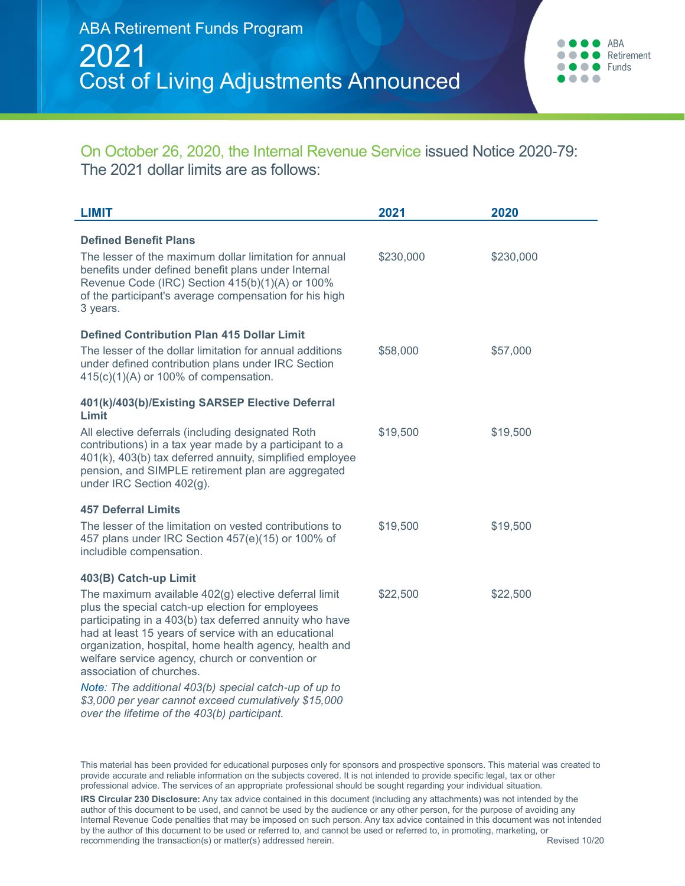## On October 26, 2020, the Internal Revenue Service issued Notice 2020-79: The 2021 dollar limits are as follows:

| <b>LIMIT</b>                                                                                                                                                                                                                                                                                                                                                         | 2021      | 2020      |
|----------------------------------------------------------------------------------------------------------------------------------------------------------------------------------------------------------------------------------------------------------------------------------------------------------------------------------------------------------------------|-----------|-----------|
| <b>Defined Benefit Plans</b>                                                                                                                                                                                                                                                                                                                                         |           |           |
| The lesser of the maximum dollar limitation for annual<br>benefits under defined benefit plans under Internal<br>Revenue Code (IRC) Section 415(b)(1)(A) or 100%<br>of the participant's average compensation for his high<br>3 years.                                                                                                                               | \$230,000 | \$230,000 |
| <b>Defined Contribution Plan 415 Dollar Limit</b>                                                                                                                                                                                                                                                                                                                    |           |           |
| The lesser of the dollar limitation for annual additions<br>under defined contribution plans under IRC Section<br>$415(c)(1)(A)$ or 100% of compensation.                                                                                                                                                                                                            | \$58,000  | \$57,000  |
| 401(k)/403(b)/Existing SARSEP Elective Deferral<br>Limit                                                                                                                                                                                                                                                                                                             |           |           |
| All elective deferrals (including designated Roth<br>contributions) in a tax year made by a participant to a<br>401(k), 403(b) tax deferred annuity, simplified employee<br>pension, and SIMPLE retirement plan are aggregated<br>under IRC Section 402(g).                                                                                                          | \$19,500  | \$19,500  |
| <b>457 Deferral Limits</b>                                                                                                                                                                                                                                                                                                                                           |           |           |
| The lesser of the limitation on vested contributions to<br>457 plans under IRC Section 457(e)(15) or 100% of<br>includible compensation.                                                                                                                                                                                                                             | \$19,500  | \$19,500  |
| 403(B) Catch-up Limit                                                                                                                                                                                                                                                                                                                                                |           |           |
| The maximum available 402(g) elective deferral limit<br>plus the special catch-up election for employees<br>participating in a 403(b) tax deferred annuity who have<br>had at least 15 years of service with an educational<br>organization, hospital, home health agency, health and<br>welfare service agency, church or convention or<br>association of churches. | \$22,500  | \$22,500  |
| Note: The additional 403(b) special catch-up of up to<br>\$3,000 per year cannot exceed cumulatively \$15,000<br>over the lifetime of the 403(b) participant.                                                                                                                                                                                                        |           |           |

This material has been provided for educational purposes only for sponsors and prospective sponsors. This material was created to provide accurate and reliable information on the subjects covered. It is not intended to provide specific legal, tax or other professional advice. The services of an appropriate professional should be sought regarding your individual situation.

**IRS Circular 230 Disclosure:** Any tax advice contained in this document (including any attachments) was not intended by the author of this document to be used, and cannot be used by the audience or any other person, for the purpose of avoiding any Internal Revenue Code penalties that may be imposed on such person. Any tax advice contained in this document was not intended by the author of this document to be used or referred to, and cannot be used or referred to, in promoting, marketing, or recommending the transaction(s) or matter(s) addressed herein. The state of the state of the Revised 10/20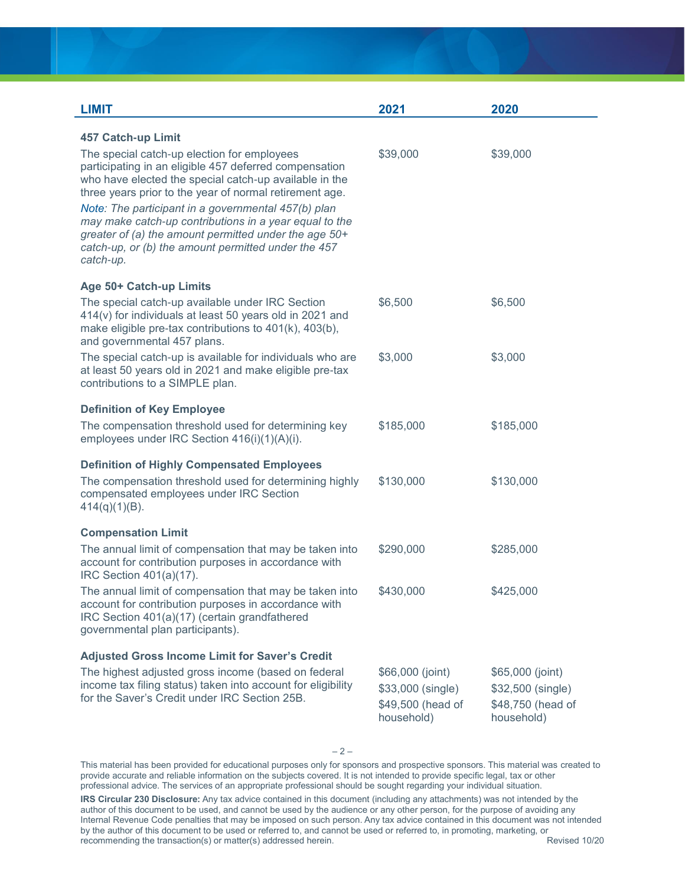| <b>LIMIT</b>                                                                                                                                                                                                                                                                                                                                                                                                                                                             | 2021                                                                     | 2020                                                                     |
|--------------------------------------------------------------------------------------------------------------------------------------------------------------------------------------------------------------------------------------------------------------------------------------------------------------------------------------------------------------------------------------------------------------------------------------------------------------------------|--------------------------------------------------------------------------|--------------------------------------------------------------------------|
| <b>457 Catch-up Limit</b>                                                                                                                                                                                                                                                                                                                                                                                                                                                |                                                                          |                                                                          |
| The special catch-up election for employees<br>participating in an eligible 457 deferred compensation<br>who have elected the special catch-up available in the<br>three years prior to the year of normal retirement age.<br>Note: The participant in a governmental 457(b) plan<br>may make catch-up contributions in a year equal to the<br>greater of (a) the amount permitted under the age 50+<br>catch-up, or (b) the amount permitted under the 457<br>catch-up. | \$39,000                                                                 | \$39,000                                                                 |
| Age 50+ Catch-up Limits                                                                                                                                                                                                                                                                                                                                                                                                                                                  |                                                                          |                                                                          |
| The special catch-up available under IRC Section<br>414(v) for individuals at least 50 years old in 2021 and<br>make eligible pre-tax contributions to 401(k), 403(b),<br>and governmental 457 plans.                                                                                                                                                                                                                                                                    | \$6,500                                                                  | \$6,500                                                                  |
| The special catch-up is available for individuals who are<br>at least 50 years old in 2021 and make eligible pre-tax<br>contributions to a SIMPLE plan.                                                                                                                                                                                                                                                                                                                  | \$3,000                                                                  | \$3,000                                                                  |
| <b>Definition of Key Employee</b>                                                                                                                                                                                                                                                                                                                                                                                                                                        |                                                                          |                                                                          |
| The compensation threshold used for determining key<br>employees under IRC Section 416(i)(1)(A)(i).                                                                                                                                                                                                                                                                                                                                                                      | \$185,000                                                                | \$185,000                                                                |
| <b>Definition of Highly Compensated Employees</b>                                                                                                                                                                                                                                                                                                                                                                                                                        |                                                                          |                                                                          |
| The compensation threshold used for determining highly<br>compensated employees under IRC Section<br>$414(q)(1)(B)$ .                                                                                                                                                                                                                                                                                                                                                    | \$130,000                                                                | \$130,000                                                                |
| <b>Compensation Limit</b>                                                                                                                                                                                                                                                                                                                                                                                                                                                |                                                                          |                                                                          |
| The annual limit of compensation that may be taken into<br>account for contribution purposes in accordance with<br>IRC Section 401(a)(17).                                                                                                                                                                                                                                                                                                                               | \$290,000                                                                | \$285,000                                                                |
| The annual limit of compensation that may be taken into<br>account for contribution purposes in accordance with<br>IRC Section 401(a)(17) (certain grandfathered<br>governmental plan participants).                                                                                                                                                                                                                                                                     | \$430,000                                                                | \$425,000                                                                |
| <b>Adjusted Gross Income Limit for Saver's Credit</b>                                                                                                                                                                                                                                                                                                                                                                                                                    |                                                                          |                                                                          |
| The highest adjusted gross income (based on federal<br>income tax filing status) taken into account for eligibility<br>for the Saver's Credit under IRC Section 25B.                                                                                                                                                                                                                                                                                                     | \$66,000 (joint)<br>\$33,000 (single)<br>\$49,500 (head of<br>household) | \$65,000 (joint)<br>\$32,500 (single)<br>\$48,750 (head of<br>household) |

 $-2-$ 

This material has been provided for educational purposes only for sponsors and prospective sponsors. This material was created to provide accurate and reliable information on the subjects covered. It is not intended to provide specific legal, tax or other professional advice. The services of an appropriate professional should be sought regarding your individual situation.

**IRS Circular 230 Disclosure:** Any tax advice contained in this document (including any attachments) was not intended by the author of this document to be used, and cannot be used by the audience or any other person, for the purpose of avoiding any Internal Revenue Code penalties that may be imposed on such person. Any tax advice contained in this document was not intended Internal Revenue Code penalties that may be imposed on such person. Any tax advice contained in by the author of this document to be used or referred to, and cannot be used or referred to, in promoting, marketing, or<br>recommending the transaction(s) or matter(s) addressed herein.  $r$ ecommending the transaction(s) or matter(s) addressed herein.